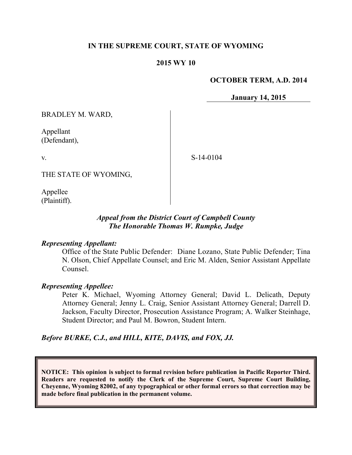### **IN THE SUPREME COURT, STATE OF WYOMING**

#### **2015 WY 10**

#### **OCTOBER TERM, A.D. 2014**

**January 14, 2015**

BRADLEY M. WARD,

Appellant (Defendant),

v.

S-14-0104

THE STATE OF WYOMING,

Appellee (Plaintiff).

### *Appeal from the District Court of Campbell County The Honorable Thomas W. Rumpke, Judge*

#### *Representing Appellant:*

Office of the State Public Defender: Diane Lozano, State Public Defender; Tina N. Olson, Chief Appellate Counsel; and Eric M. Alden, Senior Assistant Appellate Counsel.

#### *Representing Appellee:*

Peter K. Michael, Wyoming Attorney General; David L. Delicath, Deputy Attorney General; Jenny L. Craig, Senior Assistant Attorney General; Darrell D. Jackson, Faculty Director, Prosecution Assistance Program; A. Walker Steinhage, Student Director; and Paul M. Bowron, Student Intern.

*Before BURKE, C.J., and HILL, KITE, DAVIS, and FOX, JJ.*

**NOTICE: This opinion is subject to formal revision before publication in Pacific Reporter Third. Readers are requested to notify the Clerk of the Supreme Court, Supreme Court Building, Cheyenne, Wyoming 82002, of any typographical or other formal errors so that correction may be made before final publication in the permanent volume.**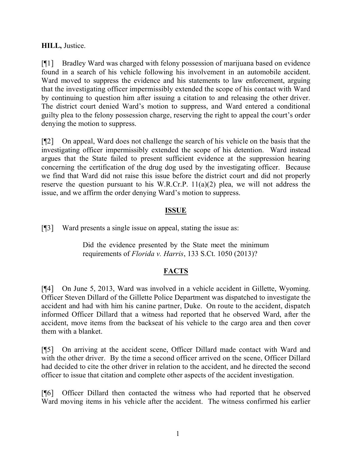# **HILL,** Justice.

[¶1] Bradley Ward was charged with felony possession of marijuana based on evidence found in a search of his vehicle following his involvement in an automobile accident. Ward moved to suppress the evidence and his statements to law enforcement, arguing that the investigating officer impermissibly extended the scope of his contact with Ward by continuing to question him after issuing a citation to and releasing the other driver. The district court denied Ward's motion to suppress, and Ward entered a conditional guilty plea to the felony possession charge, reserving the right to appeal the court's order denying the motion to suppress.

[¶2] On appeal, Ward does not challenge the search of his vehicle on the basis that the investigating officer impermissibly extended the scope of his detention. Ward instead argues that the State failed to present sufficient evidence at the suppression hearing concerning the certification of the drug dog used by the investigating officer. Because we find that Ward did not raise this issue before the district court and did not properly reserve the question pursuant to his W.R.Cr.P. 11(a)(2) plea, we will not address the issue, and we affirm the order denying Ward's motion to suppress.

# **ISSUE**

[¶3] Ward presents a single issue on appeal, stating the issue as:

Did the evidence presented by the State meet the minimum requirements of *Florida v. Harris*, 133 S.Ct. 1050 (2013)?

# **FACTS**

[¶4] On June 5, 2013, Ward was involved in a vehicle accident in Gillette, Wyoming. Officer Steven Dillard of the Gillette Police Department was dispatched to investigate the accident and had with him his canine partner, Duke. On route to the accident, dispatch informed Officer Dillard that a witness had reported that he observed Ward, after the accident, move items from the backseat of his vehicle to the cargo area and then cover them with a blanket.

[¶5] On arriving at the accident scene, Officer Dillard made contact with Ward and with the other driver. By the time a second officer arrived on the scene, Officer Dillard had decided to cite the other driver in relation to the accident, and he directed the second officer to issue that citation and complete other aspects of the accident investigation.

[¶6] Officer Dillard then contacted the witness who had reported that he observed Ward moving items in his vehicle after the accident. The witness confirmed his earlier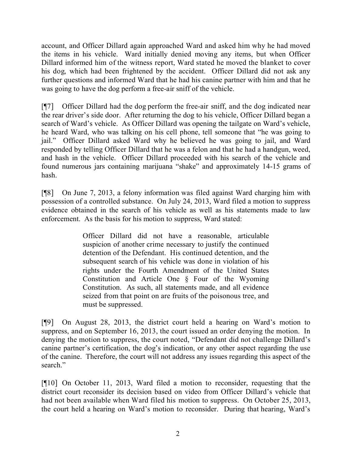account, and Officer Dillard again approached Ward and asked him why he had moved the items in his vehicle. Ward initially denied moving any items, but when Officer Dillard informed him of the witness report, Ward stated he moved the blanket to cover his dog, which had been frightened by the accident. Officer Dillard did not ask any further questions and informed Ward that he had his canine partner with him and that he was going to have the dog perform a free-air sniff of the vehicle.

[¶7] Officer Dillard had the dog perform the free-air sniff, and the dog indicated near the rear driver's side door. After returning the dog to his vehicle, Officer Dillard began a search of Ward's vehicle. As Officer Dillard was opening the tailgate on Ward's vehicle, he heard Ward, who was talking on his cell phone, tell someone that "he was going to jail." Officer Dillard asked Ward why he believed he was going to jail, and Ward responded by telling Officer Dillard that he was a felon and that he had a handgun, weed, and hash in the vehicle. Officer Dillard proceeded with his search of the vehicle and found numerous jars containing marijuana "shake" and approximately 14-15 grams of hash.

[¶8] On June 7, 2013, a felony information was filed against Ward charging him with possession of a controlled substance. On July 24, 2013, Ward filed a motion to suppress evidence obtained in the search of his vehicle as well as his statements made to law enforcement. As the basis for his motion to suppress, Ward stated:

> Officer Dillard did not have a reasonable, articulable suspicion of another crime necessary to justify the continued detention of the Defendant. His continued detention, and the subsequent search of his vehicle was done in violation of his rights under the Fourth Amendment of the United States Constitution and Article One § Four of the Wyoming Constitution. As such, all statements made, and all evidence seized from that point on are fruits of the poisonous tree, and must be suppressed.

[¶9] On August 28, 2013, the district court held a hearing on Ward's motion to suppress, and on September 16, 2013, the court issued an order denying the motion. In denying the motion to suppress, the court noted, "Defendant did not challenge Dillard's canine partner's certification, the dog's indication, or any other aspect regarding the use of the canine. Therefore, the court will not address any issues regarding this aspect of the search."

[¶10] On October 11, 2013, Ward filed a motion to reconsider, requesting that the district court reconsider its decision based on video from Officer Dillard's vehicle that had not been available when Ward filed his motion to suppress. On October 25, 2013, the court held a hearing on Ward's motion to reconsider. During that hearing, Ward's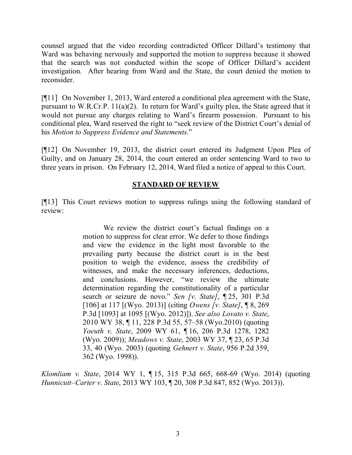counsel argued that the video recording contradicted Officer Dillard's testimony that Ward was behaving nervously and supported the motion to suppress because it showed that the search was not conducted within the scope of Officer Dillard's accident investigation. After hearing from Ward and the State, the court denied the motion to reconsider.

[¶11] On November 1, 2013, Ward entered a conditional plea agreement with the State, pursuant to W.R.Cr.P. 11(a)(2). In return for Ward's guilty plea, the State agreed that it would not pursue any charges relating to Ward's firearm possession. Pursuant to his conditional plea, Ward reserved the right to "seek review of the District Court's denial of his *Motion to Suppress Evidence and Statements*."

[¶12] On November 19, 2013, the district court entered its Judgment Upon Plea of Guilty, and on January 28, 2014, the court entered an order sentencing Ward to two to three years in prison. On February 12, 2014, Ward filed a notice of appeal to this Court.

# **STANDARD OF REVIEW**

[¶13] This Court reviews motion to suppress rulings using the following standard of review:

> We review the district court's factual findings on a motion to suppress for clear error. We defer to those findings and view the evidence in the light most favorable to the prevailing party because the district court is in the best position to weigh the evidence, assess the credibility of witnesses, and make the necessary inferences, deductions, and conclusions. However, "we review the ultimate determination regarding the constitutionality of a particular search or seizure de novo." *Sen [v. State]*, ¶ 25, 301 P.3d [106] at 117 [(Wyo. 2013)] (citing *Owens [v. State]*, ¶ 8, 269 P.3d [1093] at 1095 [(Wyo. 2012)]). *See also Lovato v. State*, 2010 WY 38, ¶ 11, 228 P.3d 55, 57–58 (Wyo.2010) (quoting *Yoeuth v. State*, 2009 WY 61, ¶ 16, 206 P.3d 1278, 1282 (Wyo. 2009)); *Meadows v. State*, 2003 WY 37, ¶ 23, 65 P.3d 33, 40 (Wyo. 2003) (quoting *Gehnert v. State*, 956 P.2d 359, 362 (Wyo. 1998)).

*Klomliam v. State*, 2014 WY 1, ¶ 15, 315 P.3d 665, 668-69 (Wyo. 2014) (quoting *Hunnicutt–Carter v. State*, 2013 WY 103, ¶ 20, 308 P.3d 847, 852 (Wyo. 2013)).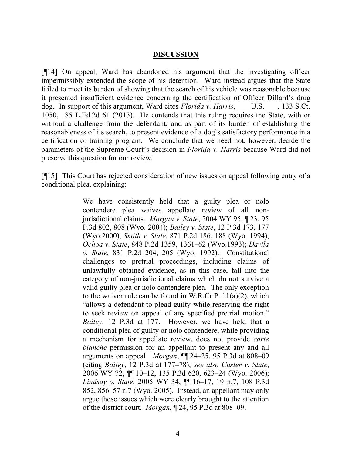#### **DISCUSSION**

[¶14] On appeal, Ward has abandoned his argument that the investigating officer impermissibly extended the scope of his detention. Ward instead argues that the State failed to meet its burden of showing that the search of his vehicle was reasonable because it presented insufficient evidence concerning the certification of Officer Dillard's drug dog. In support of this argument, Ward cites *Florida v. Harris*, U.S. , 133 S.Ct. 1050, 185 L.Ed.2d 61 (2013). He contends that this ruling requires the State, with or without a challenge from the defendant, and as part of its burden of establishing the reasonableness of its search, to present evidence of a dog's satisfactory performance in a certification or training program. We conclude that we need not, however, decide the parameters of the Supreme Court's decision in *Florida v. Harris* because Ward did not preserve this question for our review.

[¶15] This Court has rejected consideration of new issues on appeal following entry of a conditional plea, explaining:

> We have consistently held that a guilty plea or nolo contendere plea waives appellate review of all nonjurisdictional claims. *Morgan v. State*, 2004 WY 95, ¶ 23, 95 P.3d 802, 808 (Wyo. 2004); *Bailey v. State*, 12 P.3d 173, 177 (Wyo.2000); *Smith v. State*, 871 P.2d 186, 188 (Wyo. 1994); *Ochoa v. State*, 848 P.2d 1359, 1361–62 (Wyo.1993); *Davila v. State*, 831 P.2d 204, 205 (Wyo. 1992). Constitutional challenges to pretrial proceedings, including claims of unlawfully obtained evidence, as in this case, fall into the category of non-jurisdictional claims which do not survive a valid guilty plea or nolo contendere plea. The only exception to the waiver rule can be found in W.R.Cr.P. 11(a)(2), which "allows a defendant to plead guilty while reserving the right to seek review on appeal of any specified pretrial motion." *Bailey*, 12 P.3d at 177. However, we have held that a conditional plea of guilty or nolo contendere, while providing a mechanism for appellate review, does not provide *carte blanche* permission for an appellant to present any and all arguments on appeal. *Morgan*, ¶¶ 24–25, 95 P.3d at 808–09 (citing *Bailey*, 12 P.3d at 177–78); *see also Custer v. State*, 2006 WY 72, ¶¶ 10–12, 135 P.3d 620, 623–24 (Wyo. 2006); *Lindsay v. State*, 2005 WY 34, ¶¶ 16–17, 19 n.7, 108 P.3d 852, 856–57 n.7 (Wyo. 2005). Instead, an appellant may only argue those issues which were clearly brought to the attention of the district court. *Morgan*, ¶ 24, 95 P.3d at 808–09.